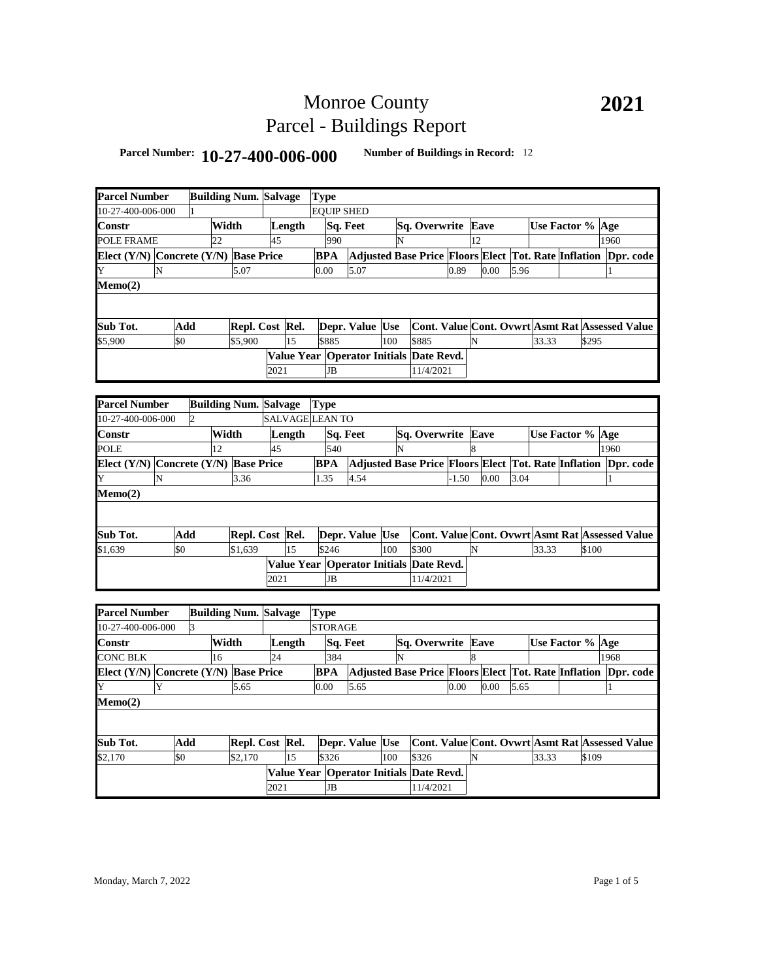## Monroe County Parcel - Buildings Report

## **Parcel Number: 10-27-400-006-000 Number of Buildings in Record:** <sup>12</sup>

| <b>Parcel Number</b>                  |                |       | <b>Building Num. Salvage</b> |      |        | <b>Type</b>                   |                                         |     |                                                                |         |    |      |      |                  |       |              |  |
|---------------------------------------|----------------|-------|------------------------------|------|--------|-------------------------------|-----------------------------------------|-----|----------------------------------------------------------------|---------|----|------|------|------------------|-------|--------------|--|
| 10-27-400-006-000                     |                |       |                              |      |        | <b>EQUIP SHED</b>             |                                         |     |                                                                |         |    |      |      |                  |       |              |  |
| Constr                                |                | Width |                              |      | Length |                               | Sq. Feet                                |     | Sq. Overwrite Eave                                             |         |    |      |      | Use Factor % Age |       |              |  |
| POLE FRAME                            |                | 22    |                              | 45   |        | 990                           |                                         | N   |                                                                |         | 12 |      |      |                  |       | 1960         |  |
| Elect (Y/N) Concrete (Y/N) Base Price |                |       |                              |      |        | <b>BPA</b>                    |                                         |     | Adjusted Base Price Floors Elect Tot. Rate Inflation Dpr. code |         |    |      |      |                  |       |              |  |
|                                       |                |       | 5.07                         |      |        | 0.00                          |                                         |     |                                                                | 0.89    |    | 0.00 |      |                  |       |              |  |
| N<br>Y                                |                |       |                              |      |        |                               | 5.07                                    |     |                                                                |         |    |      | 5.96 |                  |       | 1            |  |
| Memo(2)                               |                |       |                              |      |        |                               |                                         |     |                                                                |         |    |      |      |                  |       |              |  |
|                                       |                |       |                              |      |        |                               |                                         |     |                                                                |         |    |      |      |                  |       |              |  |
| Sub Tot.                              | Add            |       | Repl. Cost Rel.              |      |        |                               | Depr. Value Use                         |     | Cont. Value Cont. Ovwrt Asmt Rat Assessed Value                |         |    |      |      |                  |       |              |  |
| \$5,900                               | \$0            |       | \$5,900                      |      | 15     | \$885                         |                                         | 100 | \$885                                                          |         | N  |      |      | 33.33            | \$295 |              |  |
|                                       |                |       |                              |      |        |                               | Value Year Operator Initials Date Revd. |     |                                                                |         |    |      |      |                  |       |              |  |
|                                       |                |       |                              | 2021 |        | <b>JB</b>                     |                                         |     | 11/4/2021                                                      |         |    |      |      |                  |       |              |  |
|                                       |                |       |                              |      |        |                               |                                         |     |                                                                |         |    |      |      |                  |       |              |  |
| <b>Parcel Number</b>                  |                |       | <b>Building Num. Salvage</b> |      |        | <b>Type</b>                   |                                         |     |                                                                |         |    |      |      |                  |       |              |  |
| 10-27-400-006-000                     | $\overline{c}$ |       |                              |      |        | <b>SALVAGE LEAN TO</b>        |                                         |     |                                                                |         |    |      |      |                  |       |              |  |
|                                       |                | Width |                              |      |        |                               |                                         |     |                                                                |         |    |      |      |                  |       |              |  |
| Constr                                |                | 12    |                              |      | Length |                               | Sq. Feet                                |     | Sq. Overwrite Eave                                             |         |    |      |      | Use Factor % Age |       |              |  |
| POLE                                  |                |       |                              | 45   |        | 540                           |                                         | N   |                                                                |         |    |      |      |                  |       | 1960         |  |
| Elect (Y/N) Concrete (Y/N) Base Price |                |       |                              |      |        | BPA                           |                                         |     | Adjusted Base Price Floors Elect Tot. Rate Inflation Dpr. code |         |    |      |      |                  |       |              |  |
| N<br>Y                                |                |       | 3.36                         |      |        | 1.35                          | 4.54                                    |     |                                                                | $-1.50$ |    | 0.00 | 3.04 |                  |       | 1            |  |
| Memo(2)                               |                |       |                              |      |        |                               |                                         |     |                                                                |         |    |      |      |                  |       |              |  |
|                                       |                |       |                              |      |        |                               |                                         |     |                                                                |         |    |      |      |                  |       |              |  |
| Sub Tot.                              | Add            |       | Repl. Cost Rel.              |      |        |                               | Depr. Value Use                         |     | Cont. Value Cont. Ovwrt Asmt Rat Assessed Value                |         |    |      |      |                  |       |              |  |
| \$1.639                               | \$0            |       | \$1.639                      |      | 15     | \$246                         |                                         | 100 | \$300                                                          |         | N  |      |      | 33.33            | \$100 |              |  |
|                                       |                |       |                              |      |        |                               | Value Year Operator Initials Date Revd. |     |                                                                |         |    |      |      |                  |       |              |  |
|                                       |                |       |                              | 2021 |        | <b>JB</b>                     |                                         |     | 11/4/2021                                                      |         |    |      |      |                  |       |              |  |
|                                       |                |       |                              |      |        |                               |                                         |     |                                                                |         |    |      |      |                  |       |              |  |
| <b>Parcel Number</b>                  |                |       |                              |      |        |                               |                                         |     |                                                                |         |    |      |      |                  |       |              |  |
| 10-27-400-006-000                     | 3              |       | <b>Building Num. Salvage</b> |      |        | <b>Type</b><br><b>STORAGE</b> |                                         |     |                                                                |         |    |      |      |                  |       |              |  |
|                                       |                |       |                              |      |        |                               |                                         |     |                                                                |         |    |      |      |                  |       |              |  |
| Constr                                |                | Width |                              |      | Length |                               | Sq. Feet                                |     | Sq. Overwrite                                                  |         | 8  | Eave |      | Use Factor % Age |       | 1968         |  |
| CONC BLK                              |                | 16    |                              | 24   |        | 384                           |                                         | N   |                                                                |         |    |      |      |                  |       |              |  |
| Elect (Y/N) Concrete (Y/N) Base Price |                |       |                              |      |        | <b>BPA</b>                    |                                         |     | Adjusted Base Price Floors Elect Tot. Rate Inflation Dpr. code |         |    |      |      |                  |       |              |  |
| Y<br>Y                                |                |       | 5.65                         |      |        | 0.00                          | 5.65                                    |     |                                                                | 0.00    |    | 0.00 | 5.65 |                  |       | $\mathbf{1}$ |  |
| Memo(2)                               |                |       |                              |      |        |                               |                                         |     |                                                                |         |    |      |      |                  |       |              |  |
|                                       |                |       |                              |      |        |                               |                                         |     |                                                                |         |    |      |      |                  |       |              |  |
| Sub Tot.                              | Add            |       | Repl. Cost Rel.              |      |        |                               | Depr. Value Use                         |     | <b>Cont. Value Cont. Ovwrt Asmt Rat Assessed Value</b>         |         |    |      |      |                  |       |              |  |
| \$2,170                               | \$0            |       | \$2,170                      |      | 15     | \$326                         |                                         | 100 | \$326                                                          |         | N  |      |      | 33.33            | \$109 |              |  |
|                                       |                |       |                              |      |        |                               | Value Year Operator Initials Date Revd. |     |                                                                |         |    |      |      |                  |       |              |  |
|                                       |                |       |                              | 2021 |        | JB                            |                                         |     | 11/4/2021                                                      |         |    |      |      |                  |       |              |  |
|                                       |                |       |                              |      |        |                               |                                         |     |                                                                |         |    |      |      |                  |       |              |  |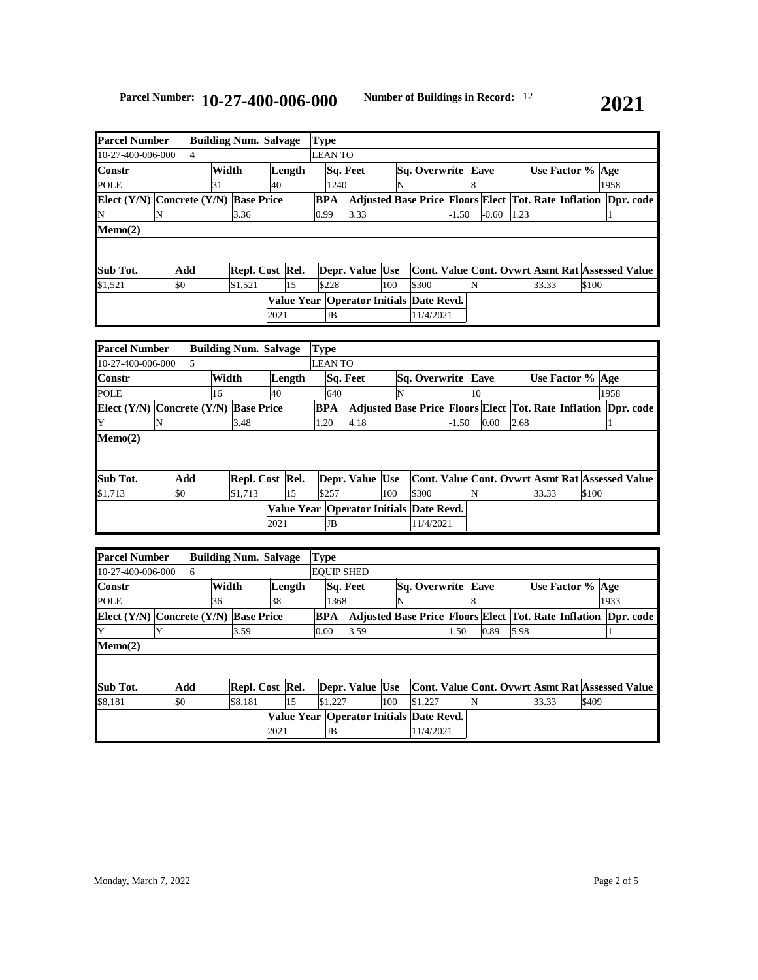| <b>Parcel Number</b>                      |     |       | <b>Building Num. Salvage</b> |      |        | <b>Type</b>    |      |                                             |     |                           |         |                                                                |      |                  |       |      |  |
|-------------------------------------------|-----|-------|------------------------------|------|--------|----------------|------|---------------------------------------------|-----|---------------------------|---------|----------------------------------------------------------------|------|------------------|-------|------|--|
| 10-27-400-006-000                         |     |       |                              |      |        | <b>LEAN TO</b> |      |                                             |     |                           |         |                                                                |      |                  |       |      |  |
| Constr                                    |     | Width |                              |      | Length |                |      | Sq. Feet                                    |     | <b>Sq. Overwrite Eave</b> |         |                                                                |      | Use Factor % Age |       |      |  |
| <b>POLE</b>                               |     | 31    |                              | 40   |        |                | 1240 |                                             | N   |                           |         | 8                                                              |      |                  |       | 1958 |  |
| Elect $(Y/N)$ Concrete $(Y/N)$ Base Price |     |       |                              |      |        | BPA            |      |                                             |     |                           |         | Adjusted Base Price Floors Elect Tot. Rate Inflation Dpr. code |      |                  |       |      |  |
| N                                         |     |       | 3.36                         |      |        | 0.99           |      | 3.33                                        |     |                           | $-1.50$ | $-0.60$                                                        | 1.23 |                  |       |      |  |
| Memo(2)                                   |     |       |                              |      |        |                |      |                                             |     |                           |         |                                                                |      |                  |       |      |  |
|                                           |     |       |                              |      |        |                |      |                                             |     |                           |         |                                                                |      |                  |       |      |  |
|                                           |     |       |                              |      |        |                |      |                                             |     |                           |         |                                                                |      |                  |       |      |  |
| Sub Tot.                                  | Add |       | Repl. Cost Rel.              |      |        |                |      | Depr. Value Use                             |     |                           |         | Cont. Value Cont. Ovwrt Asmt Rat Assessed Value                |      |                  |       |      |  |
| \$1,521                                   | \$0 |       | \$1,521                      |      | 15     | \$228          |      |                                             | 100 | \$300                     |         |                                                                |      | 33.33            | \$100 |      |  |
|                                           |     |       |                              |      |        |                |      | Value Year   Operator Initials   Date Revd. |     |                           |         |                                                                |      |                  |       |      |  |
|                                           |     |       |                              | 2021 |        |                | JB   |                                             |     | 11/4/2021                 |         |                                                                |      |                  |       |      |  |

| <b>Parcel Number</b>                      |     |       | <b>Building Num. Salvage</b> |      |        | <b>Type</b>    |     |                 |     |                                                                |         |                                                 |      |       |                  |       |      |  |
|-------------------------------------------|-----|-------|------------------------------|------|--------|----------------|-----|-----------------|-----|----------------------------------------------------------------|---------|-------------------------------------------------|------|-------|------------------|-------|------|--|
| 10-27-400-006-000                         |     |       |                              |      |        | <b>LEAN TO</b> |     |                 |     |                                                                |         |                                                 |      |       |                  |       |      |  |
| <b>Constr</b>                             |     | Width |                              |      | Length |                |     | Sq. Feet        |     | <b>Sq. Overwrite Eave</b>                                      |         |                                                 |      |       | Use Factor % Age |       |      |  |
| POLE                                      |     | 16    |                              | 40   |        |                | 640 |                 | ΙN  |                                                                |         | 10                                              |      |       |                  |       | 1958 |  |
| Elect $(Y/N)$ Concrete $(Y/N)$ Base Price |     |       |                              |      |        | <b>BPA</b>     |     |                 |     | Adjusted Base Price Floors Elect Tot. Rate Inflation Dpr. code |         |                                                 |      |       |                  |       |      |  |
| IY                                        | N   |       | 3.48                         |      |        | 1.20           |     | 4.18            |     |                                                                | $-1.50$ | 0.00                                            | 2.68 |       |                  |       |      |  |
| Memo(2)                                   |     |       |                              |      |        |                |     |                 |     |                                                                |         |                                                 |      |       |                  |       |      |  |
|                                           |     |       |                              |      |        |                |     |                 |     |                                                                |         |                                                 |      |       |                  |       |      |  |
|                                           |     |       |                              |      |        |                |     |                 |     |                                                                |         |                                                 |      |       |                  |       |      |  |
| Sub Tot.                                  | Add |       | Repl. Cost Rel.              |      |        |                |     | Depr. Value Use |     |                                                                |         | Cont. Value Cont. Ovwrt Asmt Rat Assessed Value |      |       |                  |       |      |  |
| \$1,713                                   | \$0 |       | \$1,713                      |      | 15     | \$257          |     |                 | 100 | \$300                                                          |         | N                                               |      | 33.33 |                  | \$100 |      |  |
|                                           |     |       |                              |      |        |                |     |                 |     | Value Year   Operator Initials   Date Revd.                    |         |                                                 |      |       |                  |       |      |  |
|                                           |     |       |                              | 2021 |        | JB             |     |                 |     | 11/4/2021                                                      |         |                                                 |      |       |                  |       |      |  |

| <b>Parcel Number</b> |          |             |    | <b>Type</b>                                                                                                    |                          |                                                  |                 |      |                                                        |                           |       |      |                                                                      |                                                                             |
|----------------------|----------|-------------|----|----------------------------------------------------------------------------------------------------------------|--------------------------|--------------------------------------------------|-----------------|------|--------------------------------------------------------|---------------------------|-------|------|----------------------------------------------------------------------|-----------------------------------------------------------------------------|
| 10-27-400-006-000    |          |             |    |                                                                                                                |                          |                                                  |                 |      |                                                        |                           |       |      |                                                                      |                                                                             |
|                      |          |             |    |                                                                                                                |                          |                                                  |                 |      |                                                        |                           |       |      |                                                                      |                                                                             |
|                      |          | 38          |    |                                                                                                                |                          | N                                                |                 |      |                                                        |                           |       |      |                                                                      |                                                                             |
|                      |          |             |    |                                                                                                                |                          |                                                  |                 |      |                                                        |                           |       |      |                                                                      | Dor. code                                                                   |
| ·v                   | 3.59     |             |    |                                                                                                                | 3.59                     |                                                  |                 | 1.50 | 0.89                                                   |                           |       |      |                                                                      |                                                                             |
|                      |          |             |    |                                                                                                                |                          |                                                  |                 |      |                                                        |                           |       |      |                                                                      |                                                                             |
|                      |          |             |    |                                                                                                                |                          |                                                  |                 |      |                                                        |                           |       |      |                                                                      |                                                                             |
|                      |          |             |    |                                                                                                                |                          |                                                  |                 |      |                                                        |                           |       |      |                                                                      |                                                                             |
| \$0                  | \$8,181  |             | 15 |                                                                                                                |                          | 100                                              | \$1,227         |      | N                                                      |                           | 33.33 |      |                                                                      |                                                                             |
|                      |          |             |    |                                                                                                                |                          |                                                  |                 |      |                                                        |                           |       |      |                                                                      |                                                                             |
|                      |          |             |    |                                                                                                                |                          |                                                  |                 |      |                                                        |                           |       |      |                                                                      |                                                                             |
|                      | 6<br>Add | Width<br>36 |    | <b>Building Num. Salvage</b><br>Length<br>Elect $(Y/N)$ Concrete $(Y/N)$ Base Price<br>Repl. Cost Rel.<br>2021 | <b>BPA</b><br>0.00<br>JB | <b>EOUIP SHED</b><br>Sq. Feet<br>1368<br>\$1,227 | Depr. Value Use |      | Value Year   Operator Initials Date Revd.<br>11/4/2021 | <b>Sq. Overwrite Eave</b> |       | 5.98 | <b>Adjusted Base Price Floors Elect Tot. Rate Inflation</b><br>\$409 | Use Factor % Age<br>1933<br>Cont. Value Cont. Ovwrt Asmt Rat Assessed Value |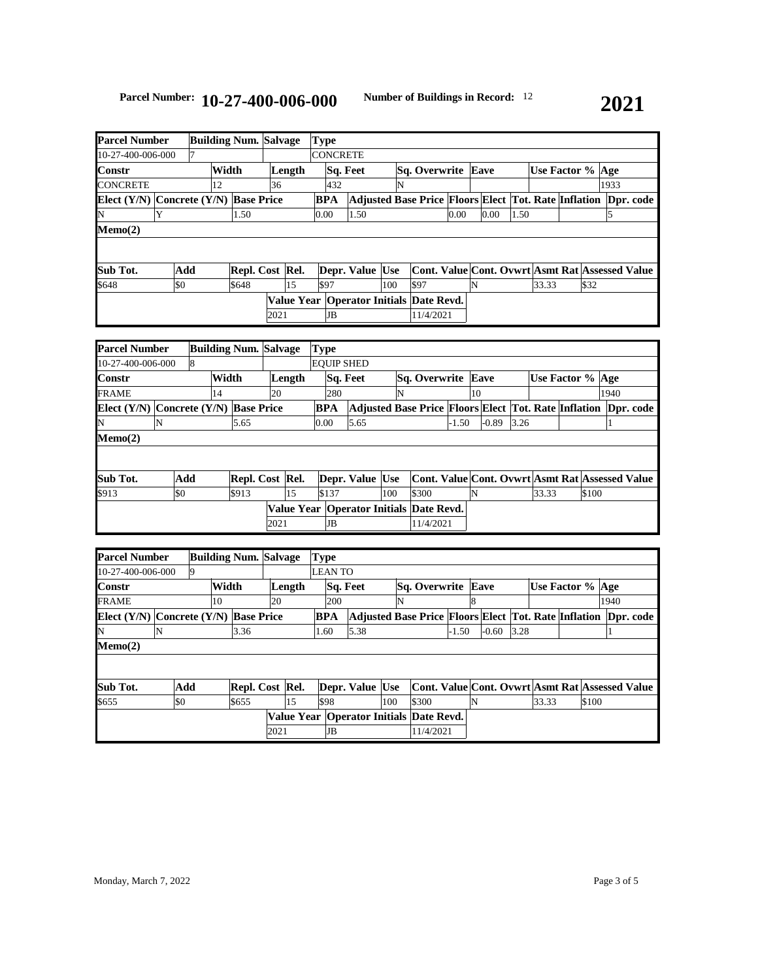| <b>Parcel Number</b>                      |     |       | <b>Building Num. Salvage</b> |      |        | <b>Type</b>     |     |                 |     |                                                                |      |      |      |       |                    |      |  |
|-------------------------------------------|-----|-------|------------------------------|------|--------|-----------------|-----|-----------------|-----|----------------------------------------------------------------|------|------|------|-------|--------------------|------|--|
| 10-27-400-006-000                         |     |       |                              |      |        | <b>CONCRETE</b> |     |                 |     |                                                                |      |      |      |       |                    |      |  |
| <b>Constr</b>                             |     | Width |                              |      | Length |                 |     | Sq. Feet        |     | Sq. Overwrite Eave                                             |      |      |      |       | Use Factor %   Age |      |  |
| <b>CONCRETE</b>                           |     | 12    |                              | 36   |        |                 | 432 |                 | N   |                                                                |      |      |      |       |                    | 1933 |  |
| Elect $(Y/N)$ Concrete $(Y/N)$ Base Price |     |       |                              |      |        | <b>BPA</b>      |     |                 |     | Adjusted Base Price Floors Elect Tot. Rate Inflation Dpr. code |      |      |      |       |                    |      |  |
| N                                         | Y   |       | 1.50                         |      |        | 0.00            |     | 1.50            |     |                                                                | 0.00 | 0.00 | 1.50 |       |                    |      |  |
| Memo(2)                                   |     |       |                              |      |        |                 |     |                 |     |                                                                |      |      |      |       |                    |      |  |
|                                           |     |       |                              |      |        |                 |     |                 |     |                                                                |      |      |      |       |                    |      |  |
|                                           |     |       |                              |      |        |                 |     |                 |     |                                                                |      |      |      |       |                    |      |  |
| Sub Tot.                                  | Add |       | Repl. Cost Rel.              |      |        |                 |     | Depr. Value Use |     | Cont. Value Cont. Ovwrt Asmt Rat Assessed Value                |      |      |      |       |                    |      |  |
| \$648                                     | \$0 |       | \$648                        |      | 15     | \$97            |     |                 | 100 | \$97                                                           |      | N    |      | 33.33 | \$32               |      |  |
|                                           |     |       |                              |      |        |                 |     |                 |     | Value Year   Operator Initials   Date Revd.                    |      |      |      |       |                    |      |  |
|                                           |     |       |                              | 2021 |        |                 | JB  |                 |     | 11/4/2021                                                      |      |      |      |       |                    |      |  |

| <b>Parcel Number</b>                      |     |   |       | <b>Building Num. Salvage</b> |      |        | <b>Type</b> |                   |                 |     |                                             |         |         |      |       |                    |      |                                                                |
|-------------------------------------------|-----|---|-------|------------------------------|------|--------|-------------|-------------------|-----------------|-----|---------------------------------------------|---------|---------|------|-------|--------------------|------|----------------------------------------------------------------|
| 10-27-400-006-000                         |     | 8 |       |                              |      |        |             | <b>EOUIP SHED</b> |                 |     |                                             |         |         |      |       |                    |      |                                                                |
| <b>Constr</b>                             |     |   | Width |                              |      | Length |             | Sq. Feet          |                 |     | Sq. Overwrite Eave                          |         |         |      |       | Use Factor %   Age |      |                                                                |
| <b>FRAME</b>                              |     |   | 14    |                              | 20   |        |             | 280               |                 | N   |                                             |         | 10      |      |       |                    | 1940 |                                                                |
| Elect $(Y/N)$ Concrete $(Y/N)$ Base Price |     |   |       |                              |      |        | <b>BPA</b>  |                   |                 |     |                                             |         |         |      |       |                    |      | Adjusted Base Price Floors Elect Tot. Rate Inflation Dpr. code |
| N                                         | N   |   |       | 5.65                         |      |        | 0.00        |                   | 5.65            |     |                                             | $-1.50$ | $-0.89$ | 3.26 |       |                    |      |                                                                |
| Memo(2)                                   |     |   |       |                              |      |        |             |                   |                 |     |                                             |         |         |      |       |                    |      |                                                                |
|                                           |     |   |       |                              |      |        |             |                   |                 |     |                                             |         |         |      |       |                    |      |                                                                |
|                                           |     |   |       |                              |      |        |             |                   |                 |     |                                             |         |         |      |       |                    |      |                                                                |
| Sub Tot.                                  | Add |   |       | Repl. Cost Rel.              |      |        |             |                   | Depr. Value Use |     |                                             |         |         |      |       |                    |      | Cont. Value Cont. Ovwrt Asmt Rat Assessed Value                |
| \$913                                     | \$0 |   |       | \$913                        |      | 15     |             | \$137             |                 | 100 | \$300                                       |         | N       |      | 33.33 | \$100              |      |                                                                |
|                                           |     |   |       |                              |      |        |             |                   |                 |     | Value Year   Operator Initials   Date Revd. |         |         |      |       |                    |      |                                                                |
|                                           |     |   |       |                              | 2021 |        |             | JB                |                 |     | 11/4/2021                                   |         |         |      |       |                    |      |                                                                |

|     | 10                                             |                 | 20    |    | 200                                                                                                            |                           | N                          |                 |                                                                                  |                      |               | 1940 |                                                                                                                                             |
|-----|------------------------------------------------|-----------------|-------|----|----------------------------------------------------------------------------------------------------------------|---------------------------|----------------------------|-----------------|----------------------------------------------------------------------------------|----------------------|---------------|------|---------------------------------------------------------------------------------------------------------------------------------------------|
|     |                                                |                 |       |    |                                                                                                                |                           |                            |                 |                                                                                  |                      |               |      | Dpr. code                                                                                                                                   |
|     |                                                | 3.36            |       |    | 1.60                                                                                                           | 5.38                      |                            |                 | $-0.60$                                                                          |                      |               |      |                                                                                                                                             |
|     |                                                |                 |       |    |                                                                                                                |                           |                            |                 |                                                                                  |                      |               |      |                                                                                                                                             |
|     |                                                |                 |       |    |                                                                                                                |                           |                            |                 |                                                                                  |                      |               |      |                                                                                                                                             |
|     |                                                |                 |       |    |                                                                                                                |                           |                            |                 |                                                                                  |                      |               |      |                                                                                                                                             |
| \$0 |                                                | \$655           |       | 15 | \$98                                                                                                           |                           | 100                        | \$300           |                                                                                  |                      |               |      |                                                                                                                                             |
|     |                                                |                 |       |    |                                                                                                                |                           |                            |                 |                                                                                  |                      |               |      |                                                                                                                                             |
|     |                                                |                 |       |    | JB                                                                                                             |                           |                            |                 |                                                                                  |                      |               |      |                                                                                                                                             |
|     | <b>Parcel Number</b><br>10-27-400-006-000<br>N | <b>Q</b><br>Add | Width |    | <b>Building Num. Salvage</b><br>Length<br>Elect $(Y/N)$ Concrete $(Y/N)$ Base Price<br>Repl. Cost Rel.<br>2021 | <b>Type</b><br><b>BPA</b> | <b>LEAN TO</b><br>Sq. Feet | Depr. Value Use | <b>Sq. Overwrite</b><br>Value Year   Operator Initials   Date Revd.<br>11/4/2021 | Eave<br>8<br>$-1.50$ | 3.28<br>33.33 |      | Use Factor % Age<br><b>Adjusted Base Price Floors Elect Tot. Rate Inflation</b><br>Cont. Value Cont. Ovwrt Asmt Rat Assessed Value<br>\$100 |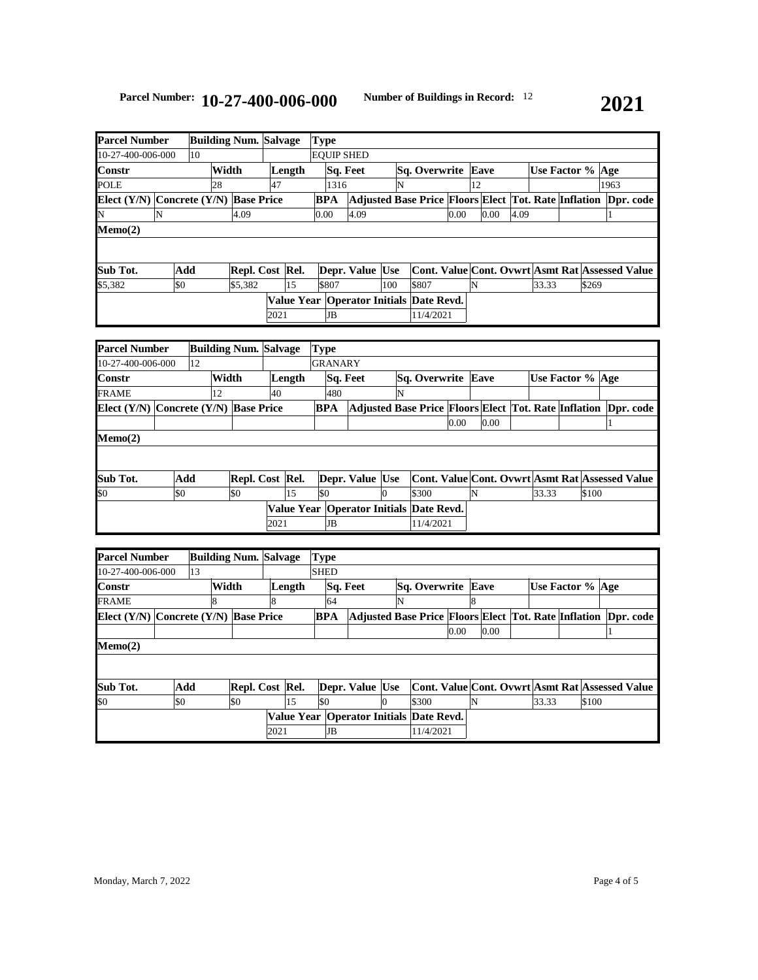| <b>Parcel Number</b>                      |     |    |       | <b>Building Num. Salvage</b> |      |        | <b>Type</b> |          |                                                                |     |                    |      |      |      |                  |       |      |                                                 |
|-------------------------------------------|-----|----|-------|------------------------------|------|--------|-------------|----------|----------------------------------------------------------------|-----|--------------------|------|------|------|------------------|-------|------|-------------------------------------------------|
| 10-27-400-006-000                         |     | 10 |       |                              |      |        |             |          | <b>EOUIP SHED</b>                                              |     |                    |      |      |      |                  |       |      |                                                 |
| <b>Constr</b>                             |     |    | Width |                              |      | Length |             | Sq. Feet |                                                                |     | Sq. Overwrite Eave |      |      |      | Use Factor % Age |       |      |                                                 |
| <b>POLE</b>                               |     |    | 28    |                              | 47   |        |             | 1316     |                                                                | N   |                    |      | 12   |      |                  |       | 1963 |                                                 |
| Elect $(Y/N)$ Concrete $(Y/N)$ Base Price |     |    |       |                              |      |        | <b>BPA</b>  |          | Adjusted Base Price Floors Elect Tot. Rate Inflation Dpr. code |     |                    |      |      |      |                  |       |      |                                                 |
| N                                         | N   |    |       | 4.09                         |      |        | 0.00        |          | 4.09                                                           |     |                    | 0.00 | 0.00 | 4.09 |                  |       |      |                                                 |
| Memo(2)                                   |     |    |       |                              |      |        |             |          |                                                                |     |                    |      |      |      |                  |       |      |                                                 |
|                                           |     |    |       |                              |      |        |             |          |                                                                |     |                    |      |      |      |                  |       |      |                                                 |
|                                           |     |    |       |                              |      |        |             |          |                                                                |     |                    |      |      |      |                  |       |      |                                                 |
| Sub Tot.                                  | Add |    |       | Repl. Cost Rel.              |      |        |             |          | Depr. Value Use                                                |     |                    |      |      |      |                  |       |      | Cont. Value Cont. Ovwrt Asmt Rat Assessed Value |
| \$5,382                                   | \$0 |    |       | \$5,382                      |      | 15     |             | \$807    |                                                                | 100 | \$807              |      | N    |      | 33.33            | \$269 |      |                                                 |
|                                           |     |    |       |                              |      |        |             |          | Value Year   Operator Initials   Date Revd.                    |     |                    |      |      |      |                  |       |      |                                                 |
|                                           |     |    |       |                              | 2021 |        |             | JB       |                                                                |     | 11/4/2021          |      |      |      |                  |       |      |                                                 |

| <b>Parcel Number</b>                      |     |    |       | <b>Building Num. Salvage</b> |      |        | <b>Type</b> |                |                 |   |                                                                |      |      |       |                    |  |
|-------------------------------------------|-----|----|-------|------------------------------|------|--------|-------------|----------------|-----------------|---|----------------------------------------------------------------|------|------|-------|--------------------|--|
| 10-27-400-006-000                         |     | 12 |       |                              |      |        |             | <b>GRANARY</b> |                 |   |                                                                |      |      |       |                    |  |
| <b>Constr</b>                             |     |    | Width |                              |      | Length |             | Sq. Feet       |                 |   | <b>Sq. Overwrite Eave</b>                                      |      |      |       | Use Factor %   Age |  |
| <b>FRAME</b>                              |     |    | 12    |                              | 40   |        |             | 480            |                 | N |                                                                |      |      |       |                    |  |
| Elect $(Y/N)$ Concrete $(Y/N)$ Base Price |     |    |       |                              |      |        | <b>BPA</b>  |                |                 |   | Adjusted Base Price Floors Elect Tot. Rate Inflation Dpr. code |      |      |       |                    |  |
|                                           |     |    |       |                              |      |        |             |                |                 |   |                                                                | 0.00 | 0.00 |       |                    |  |
| $Memo(2)$                                 |     |    |       |                              |      |        |             |                |                 |   |                                                                |      |      |       |                    |  |
|                                           |     |    |       |                              |      |        |             |                |                 |   |                                                                |      |      |       |                    |  |
|                                           |     |    |       |                              |      |        |             |                |                 |   |                                                                |      |      |       |                    |  |
| Sub Tot.                                  | Add |    |       | Repl. Cost Rel.              |      |        |             |                | Depr. Value Use |   | Cont. Value Cont. Ovwrt Asmt Rat Assessed Value                |      |      |       |                    |  |
| \$0                                       | \$0 |    |       | \$0                          |      | 15     | \$0         |                |                 | О | \$300                                                          |      | N    | 33.33 | \$100              |  |
|                                           |     |    |       |                              |      |        |             |                |                 |   | Value Year   Operator Initials   Date Revd.                    |      |      |       |                    |  |
|                                           |     |    |       |                              | 2021 |        |             | JB             |                 |   | 11/4/2021                                                      |      |      |       |                    |  |

| <b>Parcel Number</b>                      |     |    | <b>Building Num. Salvage</b> |      |        | <b>Type</b> |                 |   |                                                             |      |      |       |                                                 |           |
|-------------------------------------------|-----|----|------------------------------|------|--------|-------------|-----------------|---|-------------------------------------------------------------|------|------|-------|-------------------------------------------------|-----------|
| 10-27-400-006-000                         |     | 13 |                              |      |        | <b>SHED</b> |                 |   |                                                             |      |      |       |                                                 |           |
| <b>Constr</b>                             |     |    | Width                        |      | Length |             | Sq. Feet        |   | <b>Sq. Overwrite Eave</b>                                   |      |      |       | Use Factor % Age                                |           |
| <b>FRAME</b>                              |     |    |                              | 8    |        | 64          |                 | N |                                                             |      |      |       |                                                 |           |
| Elect $(Y/N)$ Concrete $(Y/N)$ Base Price |     |    |                              |      |        | <b>BPA</b>  |                 |   | <b>Adjusted Base Price Floors Elect Tot. Rate Inflation</b> |      |      |       |                                                 | Dpr. code |
|                                           |     |    |                              |      |        |             |                 |   |                                                             | 0.00 | 0.00 |       |                                                 |           |
| Memo(2)                                   |     |    |                              |      |        |             |                 |   |                                                             |      |      |       |                                                 |           |
|                                           |     |    |                              |      |        |             |                 |   |                                                             |      |      |       |                                                 |           |
| Sub Tot.                                  | Add |    | Repl. Cost Rel.              |      |        |             | Depr. Value Use |   |                                                             |      |      |       | Cont. Value Cont. Ovwrt Asmt Rat Assessed Value |           |
| \$0                                       | \$0 |    | \$0                          |      | 15     | \$0         |                 | 0 | \$300                                                       |      |      | 33.33 | \$100                                           |           |
|                                           |     |    |                              |      |        |             |                 |   | Value Year   Operator Initials Date Revd.                   |      |      |       |                                                 |           |
|                                           |     |    |                              | 2021 |        | JB          |                 |   | 11/4/2021                                                   |      |      |       |                                                 |           |